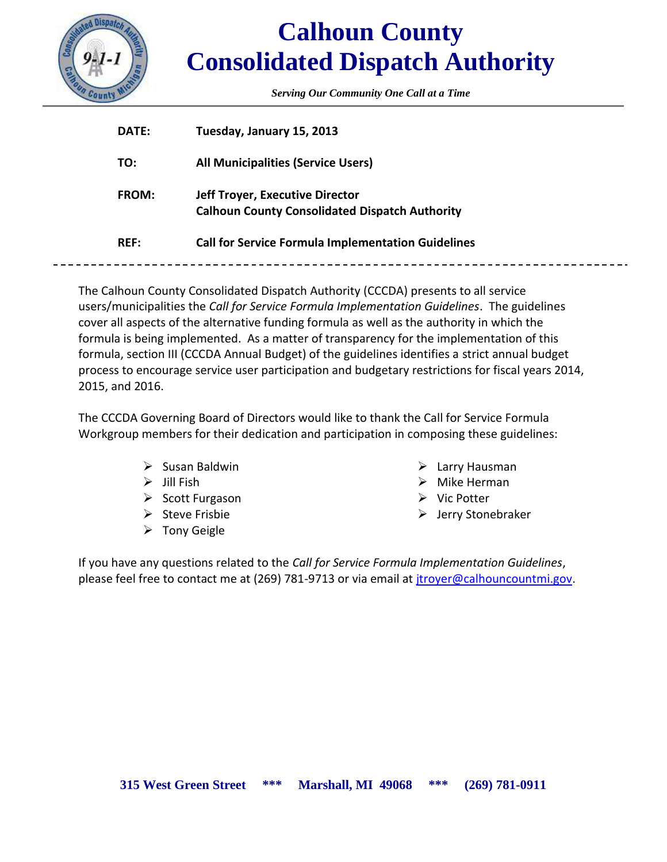

# **Calhoun County Consolidated Dispatch Authority**

*Serving Our Community One Call at a Time*

| DATE:        | Tuesday, January 15, 2013                                                                       |
|--------------|-------------------------------------------------------------------------------------------------|
| TO:          | <b>All Municipalities (Service Users)</b>                                                       |
| <b>FROM:</b> | <b>Jeff Troyer, Executive Director</b><br><b>Calhoun County Consolidated Dispatch Authority</b> |
| <b>REF:</b>  | <b>Call for Service Formula Implementation Guidelines</b>                                       |
|              |                                                                                                 |

The Calhoun County Consolidated Dispatch Authority (CCCDA) presents to all service users/municipalities the *Call for Service Formula Implementation Guidelines*. The guidelines cover all aspects of the alternative funding formula as well as the authority in which the formula is being implemented. As a matter of transparency for the implementation of this formula, section III (CCCDA Annual Budget) of the guidelines identifies a strict annual budget process to encourage service user participation and budgetary restrictions for fiscal years 2014, 2015, and 2016.

The CCCDA Governing Board of Directors would like to thank the Call for Service Formula Workgroup members for their dedication and participation in composing these guidelines:

- $\triangleright$  Susan Baldwin
- $\triangleright$  Jill Fish
- $\triangleright$  Scott Furgason
- $\triangleright$  Steve Frisbie
- $\triangleright$  Tony Geigle
- $\triangleright$  Larry Hausman
- $\triangleright$  Mike Herman
- $\triangleright$  Vic Potter
- Jerry Stonebraker

If you have any questions related to the *Call for Service Formula Implementation Guidelines*, please feel free to contact me at (269) 781-9713 or via email at [jtroyer@calhouncountmi.gov.](mailto:jtroyer@calhouncountmi.gov)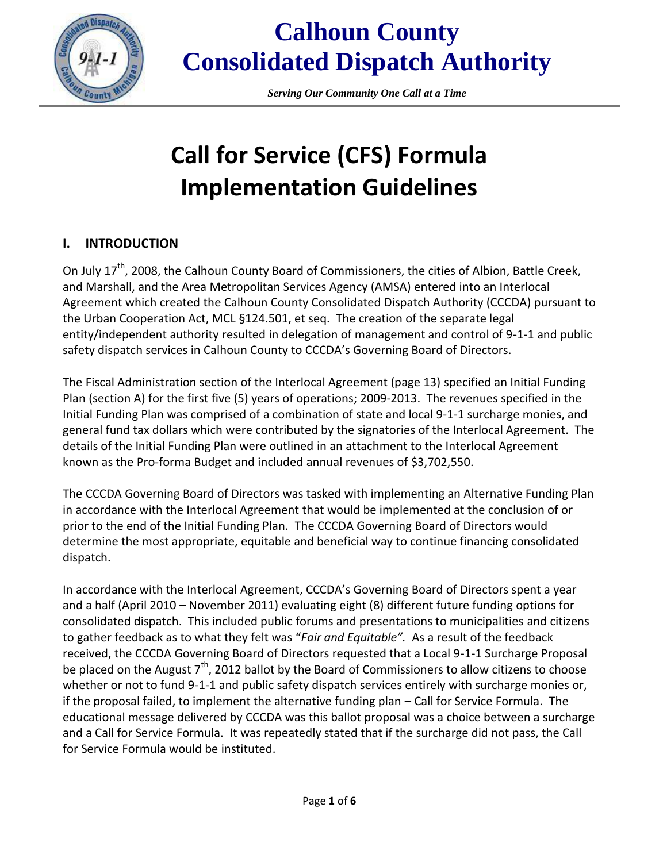

## **Calhoun County Consolidated Dispatch Authority**

*Serving Our Community One Call at a Time*

# **Call for Service (CFS) Formula Implementation Guidelines**

#### **I. INTRODUCTION**

On July 17<sup>th</sup>, 2008, the Calhoun County Board of Commissioners, the cities of Albion, Battle Creek, and Marshall, and the Area Metropolitan Services Agency (AMSA) entered into an Interlocal Agreement which created the Calhoun County Consolidated Dispatch Authority (CCCDA) pursuant to the Urban Cooperation Act, MCL §124.501, et seq. The creation of the separate legal entity/independent authority resulted in delegation of management and control of 9-1-1 and public safety dispatch services in Calhoun County to CCCDA's Governing Board of Directors.

The Fiscal Administration section of the Interlocal Agreement (page 13) specified an Initial Funding Plan (section A) for the first five (5) years of operations; 2009-2013. The revenues specified in the Initial Funding Plan was comprised of a combination of state and local 9-1-1 surcharge monies, and general fund tax dollars which were contributed by the signatories of the Interlocal Agreement. The details of the Initial Funding Plan were outlined in an attachment to the Interlocal Agreement known as the Pro-forma Budget and included annual revenues of \$3,702,550.

The CCCDA Governing Board of Directors was tasked with implementing an Alternative Funding Plan in accordance with the Interlocal Agreement that would be implemented at the conclusion of or prior to the end of the Initial Funding Plan. The CCCDA Governing Board of Directors would determine the most appropriate, equitable and beneficial way to continue financing consolidated dispatch.

In accordance with the Interlocal Agreement, CCCDA's Governing Board of Directors spent a year and a half (April 2010 – November 2011) evaluating eight (8) different future funding options for consolidated dispatch. This included public forums and presentations to municipalities and citizens to gather feedback as to what they felt was "*Fair and Equitable".* As a result of the feedback received, the CCCDA Governing Board of Directors requested that a Local 9-1-1 Surcharge Proposal be placed on the August  $7<sup>th</sup>$ , 2012 ballot by the Board of Commissioners to allow citizens to choose whether or not to fund 9-1-1 and public safety dispatch services entirely with surcharge monies or, if the proposal failed, to implement the alternative funding plan – Call for Service Formula. The educational message delivered by CCCDA was this ballot proposal was a choice between a surcharge and a Call for Service Formula. It was repeatedly stated that if the surcharge did not pass, the Call for Service Formula would be instituted.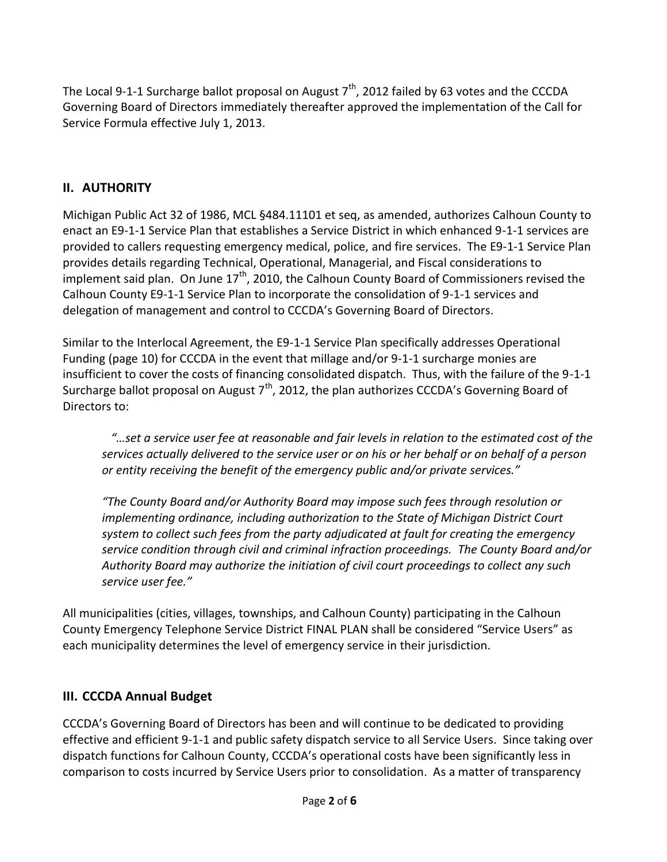The Local 9-1-1 Surcharge ballot proposal on August  $7<sup>th</sup>$ , 2012 failed by 63 votes and the CCCDA Governing Board of Directors immediately thereafter approved the implementation of the Call for Service Formula effective July 1, 2013.

### **II. AUTHORITY**

Michigan Public Act 32 of 1986, MCL §484.11101 et seq, as amended, authorizes Calhoun County to enact an E9-1-1 Service Plan that establishes a Service District in which enhanced 9-1-1 services are provided to callers requesting emergency medical, police, and fire services. The E9-1-1 Service Plan provides details regarding Technical, Operational, Managerial, and Fiscal considerations to implement said plan. On June  $17<sup>th</sup>$ , 2010, the Calhoun County Board of Commissioners revised the Calhoun County E9-1-1 Service Plan to incorporate the consolidation of 9-1-1 services and delegation of management and control to CCCDA's Governing Board of Directors.

Similar to the Interlocal Agreement, the E9-1-1 Service Plan specifically addresses Operational Funding (page 10) for CCCDA in the event that millage and/or 9-1-1 surcharge monies are insufficient to cover the costs of financing consolidated dispatch. Thus, with the failure of the 9-1-1 Surcharge ballot proposal on August  $7<sup>th</sup>$ , 2012, the plan authorizes CCCDA's Governing Board of Directors to:

 *"…set a service user fee at reasonable and fair levels in relation to the estimated cost of the services actually delivered to the service user or on his or her behalf or on behalf of a person or entity receiving the benefit of the emergency public and/or private services."*

*"The County Board and/or Authority Board may impose such fees through resolution or implementing ordinance, including authorization to the State of Michigan District Court system to collect such fees from the party adjudicated at fault for creating the emergency service condition through civil and criminal infraction proceedings. The County Board and/or Authority Board may authorize the initiation of civil court proceedings to collect any such service user fee."*

All municipalities (cities, villages, townships, and Calhoun County) participating in the Calhoun County Emergency Telephone Service District FINAL PLAN shall be considered "Service Users" as each municipality determines the level of emergency service in their jurisdiction.

#### **III. CCCDA Annual Budget**

CCCDA's Governing Board of Directors has been and will continue to be dedicated to providing effective and efficient 9-1-1 and public safety dispatch service to all Service Users. Since taking over dispatch functions for Calhoun County, CCCDA's operational costs have been significantly less in comparison to costs incurred by Service Users prior to consolidation. As a matter of transparency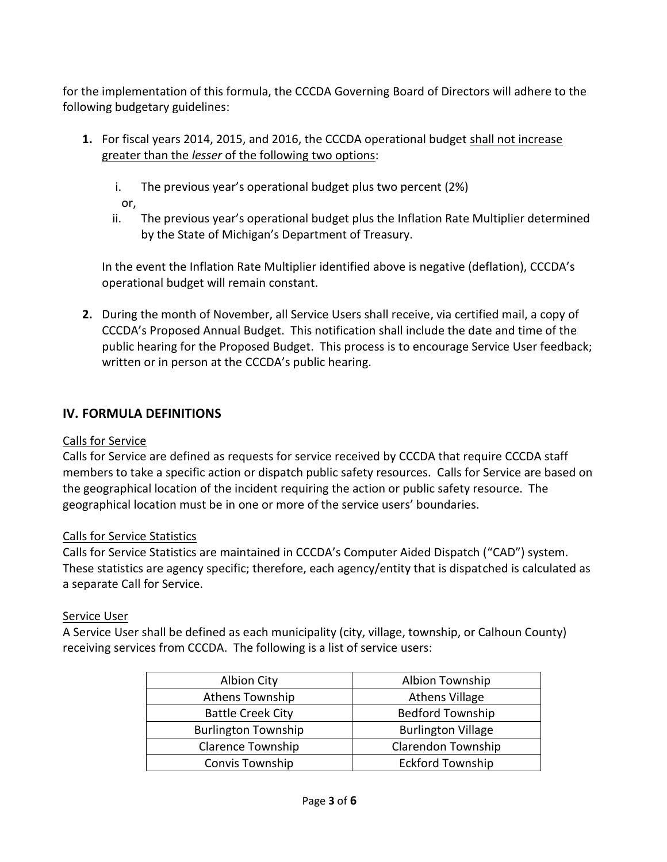for the implementation of this formula, the CCCDA Governing Board of Directors will adhere to the following budgetary guidelines:

- **1.** For fiscal years 2014, 2015, and 2016, the CCCDA operational budget shall not increase greater than the *lesser* of the following two options:
	- i. The previous year's operational budget plus two percent (2%)

or,

ii. The previous year's operational budget plus the Inflation Rate Multiplier determined by the State of Michigan's Department of Treasury.

In the event the Inflation Rate Multiplier identified above is negative (deflation), CCCDA's operational budget will remain constant.

**2.** During the month of November, all Service Users shall receive, via certified mail, a copy of CCCDA's Proposed Annual Budget. This notification shall include the date and time of the public hearing for the Proposed Budget. This process is to encourage Service User feedback; written or in person at the CCCDA's public hearing.

### **IV. FORMULA DEFINITIONS**

#### Calls for Service

Calls for Service are defined as requests for service received by CCCDA that require CCCDA staff members to take a specific action or dispatch public safety resources. Calls for Service are based on the geographical location of the incident requiring the action or public safety resource. The geographical location must be in one or more of the service users' boundaries.

#### Calls for Service Statistics

Calls for Service Statistics are maintained in CCCDA's Computer Aided Dispatch ("CAD") system. These statistics are agency specific; therefore, each agency/entity that is dispatched is calculated as a separate Call for Service.

#### Service User

A Service User shall be defined as each municipality (city, village, township, or Calhoun County) receiving services from CCCDA. The following is a list of service users:

| <b>Albion City</b>         | Albion Township           |  |  |
|----------------------------|---------------------------|--|--|
| Athens Township            | <b>Athens Village</b>     |  |  |
| <b>Battle Creek City</b>   | <b>Bedford Township</b>   |  |  |
| <b>Burlington Township</b> | <b>Burlington Village</b> |  |  |
| <b>Clarence Township</b>   | <b>Clarendon Township</b> |  |  |
| <b>Convis Township</b>     | <b>Eckford Township</b>   |  |  |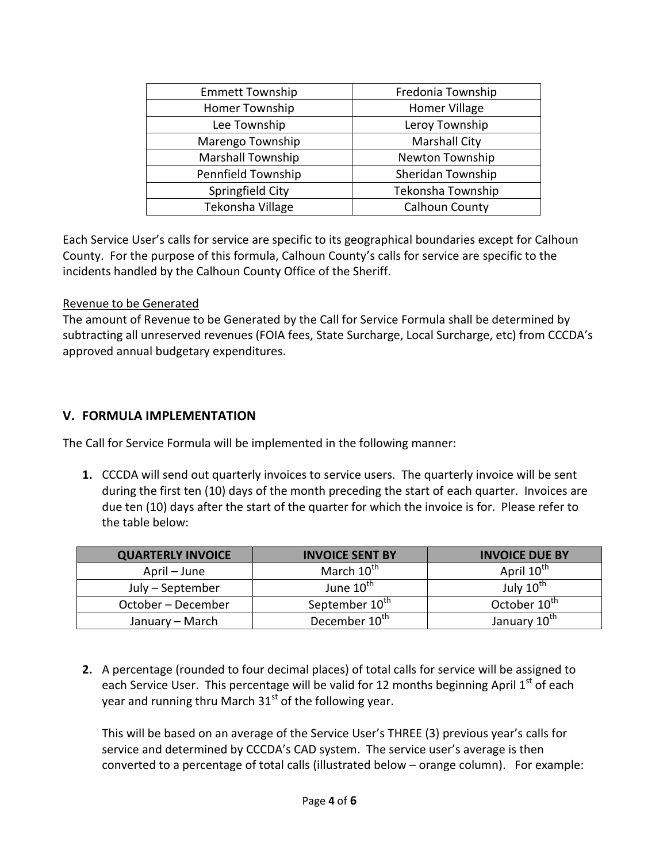| <b>Emmett Township</b>   | Fredonia Township    |  |  |
|--------------------------|----------------------|--|--|
| Homer Township           | Homer Village        |  |  |
| Lee Township             | Leroy Township       |  |  |
| Marengo Township         | <b>Marshall City</b> |  |  |
| <b>Marshall Township</b> | Newton Township      |  |  |
| Pennfield Township       | Sheridan Township    |  |  |
| Springfield City         | Tekonsha Township    |  |  |
| Tekonsha Village         | Calhoun County       |  |  |

Each Service User's calls for service are specific to its geographical boundaries except for Calhoun County. For the purpose of this formula, Calhoun County's calls for service are specific to the incidents handled by the Calhoun County Office of the Sheriff.

#### Revenue to be Generated

The amount of Revenue to be Generated by the Call for Service Formula shall be determined by subtracting all unreserved revenues (FOIA fees, State Surcharge, Local Surcharge, etc) from CCCDA's approved annual budgetary expenditures.

#### **V. FORMULA IMPLEMENTATION**

The Call for Service Formula will be implemented in the following manner:

**1.** CCCDA will send out quarterly invoices to service users. The quarterly invoice will be sent during the first ten (10) days of the month preceding the start of each quarter. Invoices are due ten (10) days after the start of the quarter for which the invoice is for. Please refer to the table below:

| <b>QUARTERLY INVOICE</b> | <b>INVOICE SENT BY</b>     | <b>INVOICE DUE BY</b>    |  |  |
|--------------------------|----------------------------|--------------------------|--|--|
| April – June             | March 10 <sup>th</sup>     | April 10 <sup>th</sup>   |  |  |
| July – September         | June 10 <sup>th</sup>      | July 10 <sup>th</sup>    |  |  |
| October – December       | September 10 <sup>th</sup> | October 10 <sup>th</sup> |  |  |
| January – March          | December 10 <sup>th</sup>  | January 10th             |  |  |

**2.** A percentage (rounded to four decimal places) of total calls for service will be assigned to each Service User. This percentage will be valid for 12 months beginning April  $1<sup>st</sup>$  of each year and running thru March  $31<sup>st</sup>$  of the following year.

This will be based on an average of the Service User's THREE (3) previous year's calls for service and determined by CCCDA's CAD system. The service user's average is then converted to a percentage of total calls (illustrated below – orange column). For example: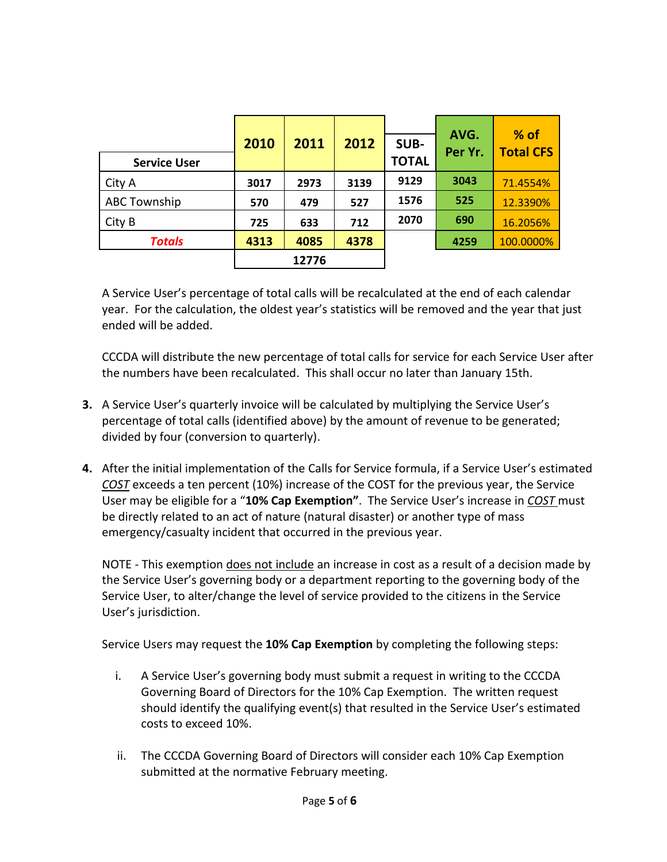| <b>Service User</b> | 2010 | 2011  | 2012 | SUB-<br><b>TOTAL</b> | AVG.<br>Per Yr. | $%$ of<br><b>Total CFS</b> |
|---------------------|------|-------|------|----------------------|-----------------|----------------------------|
| City A              | 3017 | 2973  | 3139 | 9129                 | 3043            | 71.4554%                   |
| <b>ABC Township</b> | 570  | 479   | 527  | 1576                 | 525             | 12.3390%                   |
| City B              | 725  | 633   | 712  | 2070                 | 690             | 16.2056%                   |
| <b>Totals</b>       | 4313 | 4085  | 4378 |                      | 4259            | 100.0000%                  |
|                     |      | 12776 |      |                      |                 |                            |

A Service User's percentage of total calls will be recalculated at the end of each calendar year. For the calculation, the oldest year's statistics will be removed and the year that just ended will be added.

CCCDA will distribute the new percentage of total calls for service for each Service User after the numbers have been recalculated. This shall occur no later than January 15th.

- **3.** A Service User's quarterly invoice will be calculated by multiplying the Service User's percentage of total calls (identified above) by the amount of revenue to be generated; divided by four (conversion to quarterly).
- **4.** After the initial implementation of the Calls for Service formula, if a Service User's estimated *COST* exceeds a ten percent (10%) increase of the COST for the previous year, the Service User may be eligible for a "**10% Cap Exemption"**. The Service User's increase in *COST* must be directly related to an act of nature (natural disaster) or another type of mass emergency/casualty incident that occurred in the previous year.

NOTE - This exemption does not include an increase in cost as a result of a decision made by the Service User's governing body or a department reporting to the governing body of the Service User, to alter/change the level of service provided to the citizens in the Service User's jurisdiction.

Service Users may request the **10% Cap Exemption** by completing the following steps:

- i. A Service User's governing body must submit a request in writing to the CCCDA Governing Board of Directors for the 10% Cap Exemption. The written request should identify the qualifying event(s) that resulted in the Service User's estimated costs to exceed 10%.
- ii. The CCCDA Governing Board of Directors will consider each 10% Cap Exemption submitted at the normative February meeting.